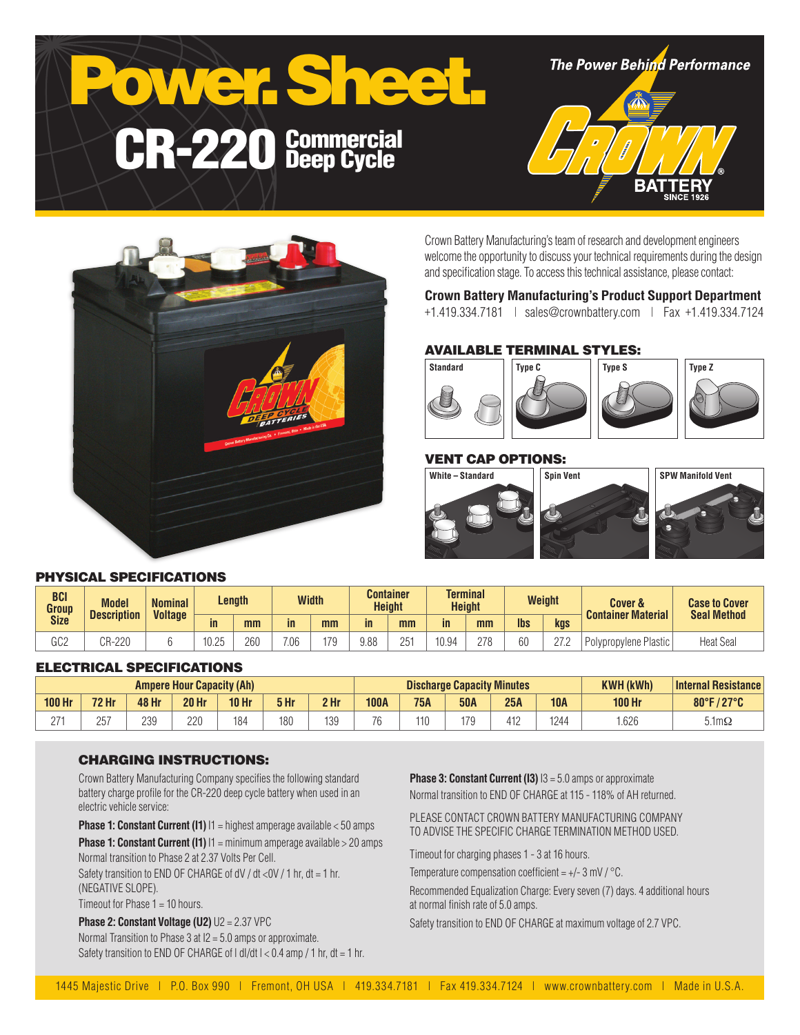



Crown Battery Manufacturing's team of research and development engineers welcome the opportunity to discuss your technical requirements during the design and specification stage. To access this technical assistance, please contact:

# **Crown Battery Manufacturing's Product Support Department**

+1.419.334.7181 | sales@crownbattery.com | Fax +1.419.334.7124

# AVAILABLE TERMINAL STYLES:



## VENT CAP OPTIONS:



# PHYSICAL SPECIFICATIONS

| <b>BCI</b><br>Group | <b>Model</b><br><b>Description</b> | <b>Nominal</b><br><b>Voltage</b> | Length               |     | <b>Width</b> |     | <b>Container</b><br><b>Height</b> | <b>Terminal</b><br><b>Height</b> |       | <b>Weight</b> |            | <b>Cover &amp;</b><br><b>Container Material</b> | <b>Case to Cover</b><br><b>Seal Method</b> |                  |
|---------------------|------------------------------------|----------------------------------|----------------------|-----|--------------|-----|-----------------------------------|----------------------------------|-------|---------------|------------|-------------------------------------------------|--------------------------------------------|------------------|
| <b>Size</b>         |                                    |                                  | in                   | mm  | in           | mm  | $\mathsf{in}$                     | mm                               | in    | mm            | <b>lbs</b> | kgs                                             |                                            |                  |
| 000<br>ს∪∠          | CR-220                             |                                  | 40.05<br>-ا (<br>いこい | 260 | 7.06         | 170 | 9.88                              | 251                              | 10.94 | 278           | 60         | 07 Q<br><u>_ _</u>                              | Polypropylene Plastic                      | <b>Heat Seal</b> |

#### ELECTRICAL SPECIFICATIONS

| <b>Ampere Hour Capacity (Ah)</b> |              |       |              |         |      |                 | <b>Discharge Capacity Minutes</b> |            |            |                 |            | <b>KWH (kWh)</b> | <b>Internal Resistance</b> |
|----------------------------------|--------------|-------|--------------|---------|------|-----------------|-----------------------------------|------------|------------|-----------------|------------|------------------|----------------------------|
| <b>100 Hr</b>                    | <b>72 Hr</b> | 48 Hr | <b>20 Hr</b> | $10$ Hr | 5 Hr | 2 <sub>hr</sub> | <b>100A</b>                       | <b>75A</b> | <b>50A</b> | 25A             | <b>10A</b> | <b>100 Hr</b>    | 80°F/27°C<br>$\mathbf{Z}$  |
| ባ7-                              | 257          | 239   | 220          | 184     | 180  | 139             | $70^{\circ}$                      | 110        | 170        | 440<br>μ<br>ے ا | 1244       | .626             | $5.1 \text{m}\Omega$       |

#### CHARGING INSTRUCTIONS:

Crown Battery Manufacturing Company specifies the following standard battery charge profile for the CR-220 deep cycle battery when used in an electric vehicle service:

**Phase 1: Constant Current (I1)**  $11$  = highest amperage available < 50 amps

**Phase 1: Constant Current (I1)**  $11 = \text{minimum}$  amperage available > 20 amps Normal transition to Phase 2 at 2.37 Volts Per Cell.

Safety transition to END OF CHARGE of dV / dt <0V / 1 hr, dt = 1 hr, (NEGATIVE SLOPE).

Timeout for Phase 1 = 10 hours.

**Phase 2: Constant Voltage (U2)** U2 = 2.37 VPC Normal Transition to Phase 3 at I2 = 5.0 amps or approximate. Safety transition to END OF CHARGE of  $| d|/dt$   $| < 0.4$  amp  $/ 1$  hr,  $dt = 1$  hr. **Phase 3: Constant Current (I3)**  $13 = 5.0$  amps or approximate Normal transition to END OF CHARGE at 115 - 118% of AH returned.

PLEASE CONTACT CROWN BATTERY MANUFACTURING COMPANY TO ADVISE THE SPECIFIC CHARGE TERMINATION METHOD USED.

Timeout for charging phases 1 - 3 at 16 hours.

Temperature compensation coefficient =  $+/- 3$  mV  $/$  °C.

Recommended Equalization Charge: Every seven (7) days. 4 additional hours at normal finish rate of 5.0 amps.

Safety transition to END OF CHARGE at maximum voltage of 2.7 VPC.